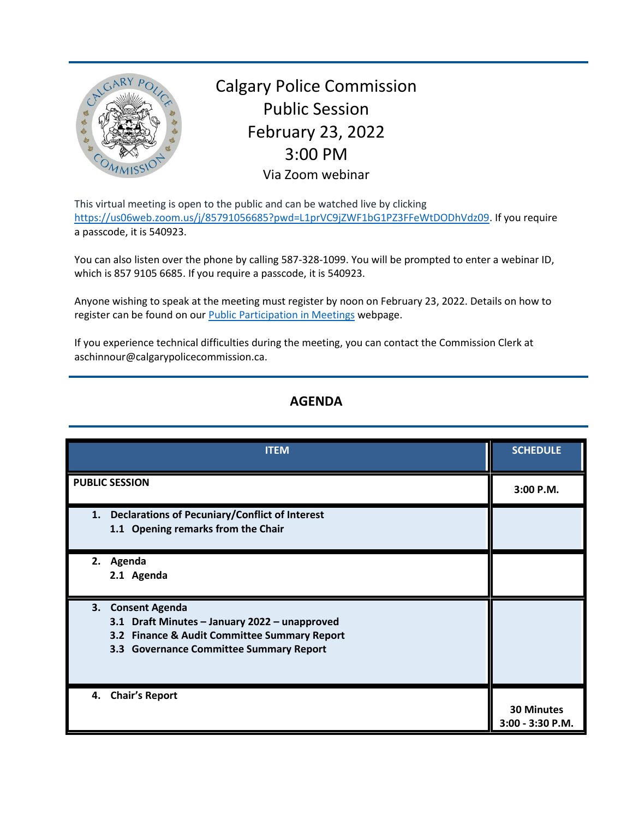

Calgary Police Commission Public Session February 23, 2022 3:00 PM Via Zoom webinar

This virtual meeting is open to the public and can be watched live by clicking [https://us06web.zoom.us/j/85791056685?pwd=L1prVC9jZWF1bG1PZ3FFeWtDODhVdz09.](https://us06web.zoom.us/j/85791056685?pwd=L1prVC9jZWF1bG1PZ3FFeWtDODhVdz09) If you require a passcode, it is 540923.

You can also listen over the phone by calling 587-328-1099. You will be prompted to enter a webinar ID, which is 857 9105 6685. If you require a passcode, it is 540923.

Anyone wishing to speak at the meeting must register by noon on February 23, 2022. Details on how to register can be found on our [Public Participation in Meetings](https://www.calgarypolicecommission.ca/public-participation-in-meetings/) webpage.

If you experience technical difficulties during the meeting, you can contact the Commission Clerk at aschinnour@calgarypolicecommission.ca.

## **AGENDA**

| <b>ITEM</b>                                                                                                                                                   | <b>SCHEDULE</b>                       |
|---------------------------------------------------------------------------------------------------------------------------------------------------------------|---------------------------------------|
| <b>PUBLIC SESSION</b>                                                                                                                                         | 3:00 P.M.                             |
| 1. Declarations of Pecuniary/Conflict of Interest<br>1.1 Opening remarks from the Chair                                                                       |                                       |
| 2. Agenda<br>2.1 Agenda                                                                                                                                       |                                       |
| 3. Consent Agenda<br>3.1 Draft Minutes - January 2022 - unapproved<br>3.2 Finance & Audit Committee Summary Report<br>3.3 Governance Committee Summary Report |                                       |
| 4. Chair's Report                                                                                                                                             | <b>30 Minutes</b><br>3:00 - 3:30 P.M. |